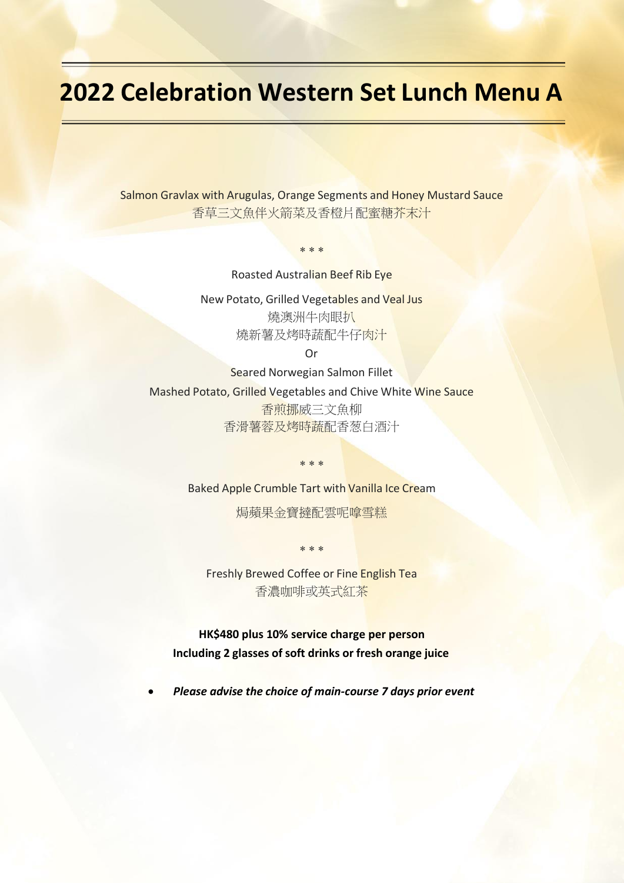## **2022 Celebration Western Set Lunch Menu A**

Salmon Gravlax with Arugulas, Orange Segments and Honey Mustard Sauce 香草三文魚伴火箭菜及香橙片配蜜糖芥末汁

Roasted Australian Beef Rib Eye

 $* * *$ 

New Potato, Grilled Vegetables and Veal Jus 燒澳洲牛肉眼扒 燒新薯及烤時蔬配牛仔肉汁

Or

Seared Norwegian Salmon Fillet Mashed Potato, Grilled Vegetables and Chive White Wine Sauce 香煎挪威三文魚柳 香滑薯蓉及烤時蔬配香葱白酒汁

Baked Apple Crumble Tart with Vanilla Ice Cream

 $* * *$ 

焗蘋果金寶撻配雲呢嗱雪糕

 $* * *$ 

Freshly Brewed Coffee or Fine English Tea 香濃咖啡或英式紅茶

**HK\$480 plus 10% service charge per person Including 2 glasses of soft drinks or fresh orange juice**

• *Please advise the choice of main-course 7 days prior event*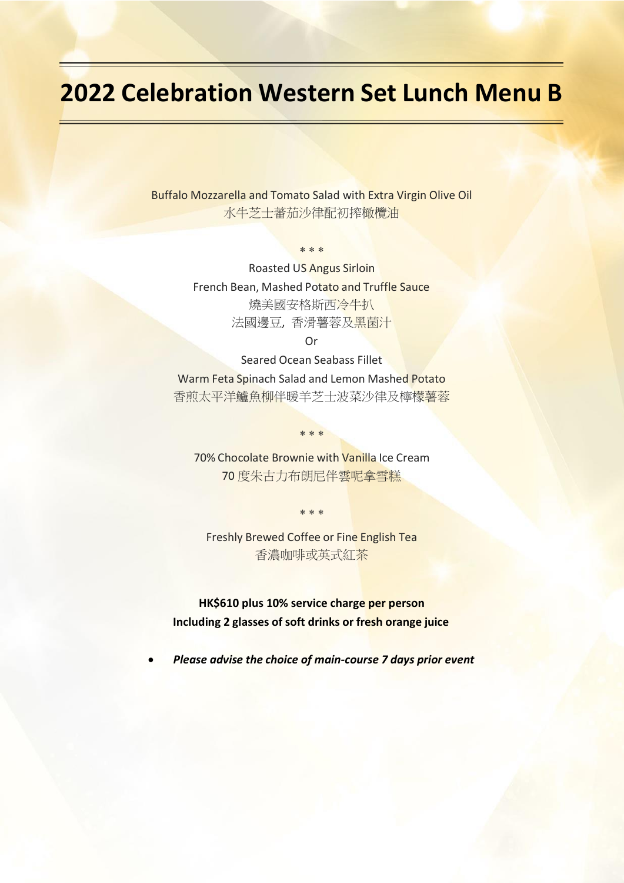## **2022 Celebration Western Set Lunch Menu B**

Buffalo Mozzarella and Tomato Salad with Extra Virgin Olive Oil 水牛芝士蕃茄沙律配初搾橄欖油

 $* * *$ 

Roasted US Angus Sirloin French Bean, Mashed Potato and Truffle Sauce 燒美國安格斯西冷牛扒 法國邊豆, 香滑薯蓉及黑菌汁

Or

Seared Ocean Seabass Fillet Warm Feta Spinach Salad and Lemon Mashed Potato 香煎太平洋鱸魚柳伴暖羊芝士波菜沙律及檸檬薯蓉

70% Chocolate Brownie with Vanilla Ice Cream 70 度朱古力布朗尼伴雲呢拿雪糕

 $* * *$ 

 $* * *$ 

Freshly Brewed Coffee or Fine English Tea 香濃咖啡或英式紅茶

**HK\$610 plus 10% service charge per person Including 2 glasses of soft drinks or fresh orange juice**

• *Please advise the choice of main-course 7 days prior event*